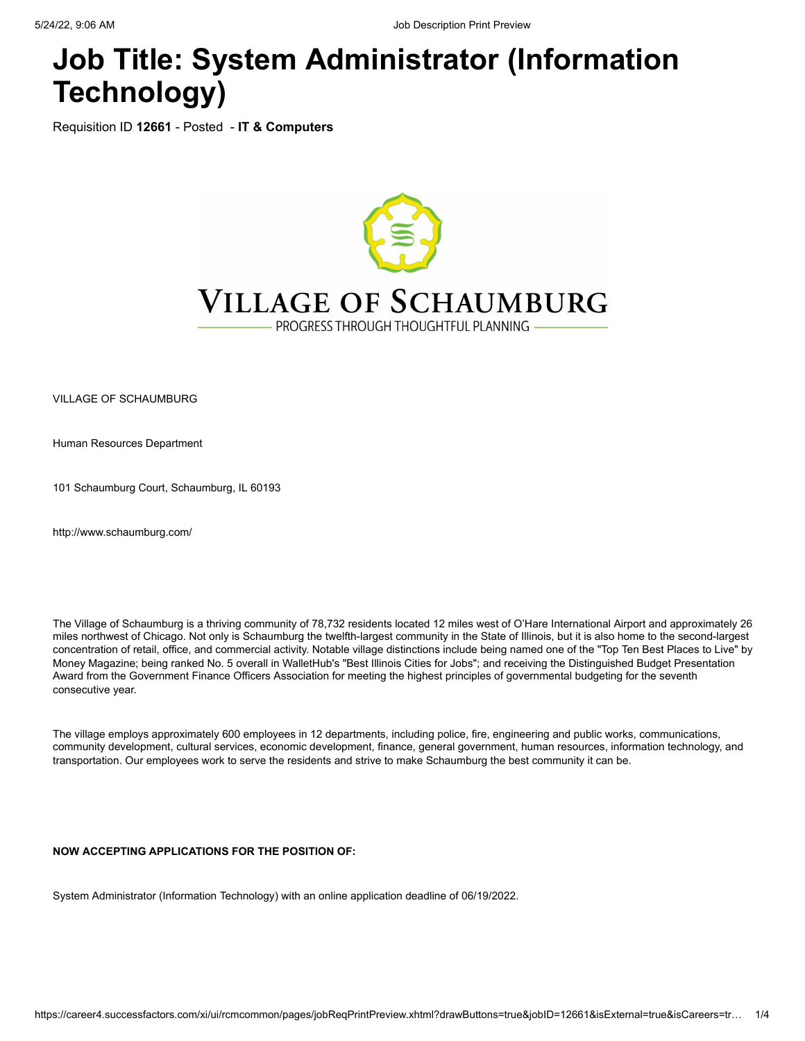# **Job Title: System Administrator (Information Technology)**

Requisition ID **12661** - Posted - **IT & Computers**



VILLAGE OF SCHAUMBURG

Human Resources Department

101 Schaumburg Court, Schaumburg, IL 60193

[http://www.schaumburg.com/](javascript:void(0);)

The Village of Schaumburg is a thriving community of 78,732 residents located 12 miles west of O'Hare International Airport and approximately 26 miles northwest of Chicago. Not only is Schaumburg the twelfth-largest community in the State of Illinois, but it is also home to the second-largest concentration of retail, office, and commercial activity. Notable village distinctions include being named one of the "Top Ten Best Places to Live" by Money Magazine; being ranked No. 5 overall in WalletHub's "Best Illinois Cities for Jobs"; and receiving the Distinguished Budget Presentation Award from the Government Finance Officers Association for meeting the highest principles of governmental budgeting for the seventh consecutive year.

The village employs approximately 600 employees in 12 departments, including police, fire, engineering and public works, communications, community development, cultural services, economic development, finance, general government, human resources, information technology, and transportation. Our employees work to serve the residents and strive to make Schaumburg the best community it can be.

**NOW ACCEPTING APPLICATIONS FOR THE POSITION OF:**

System Administrator (Information Technology) with an online application deadline of 06/19/2022.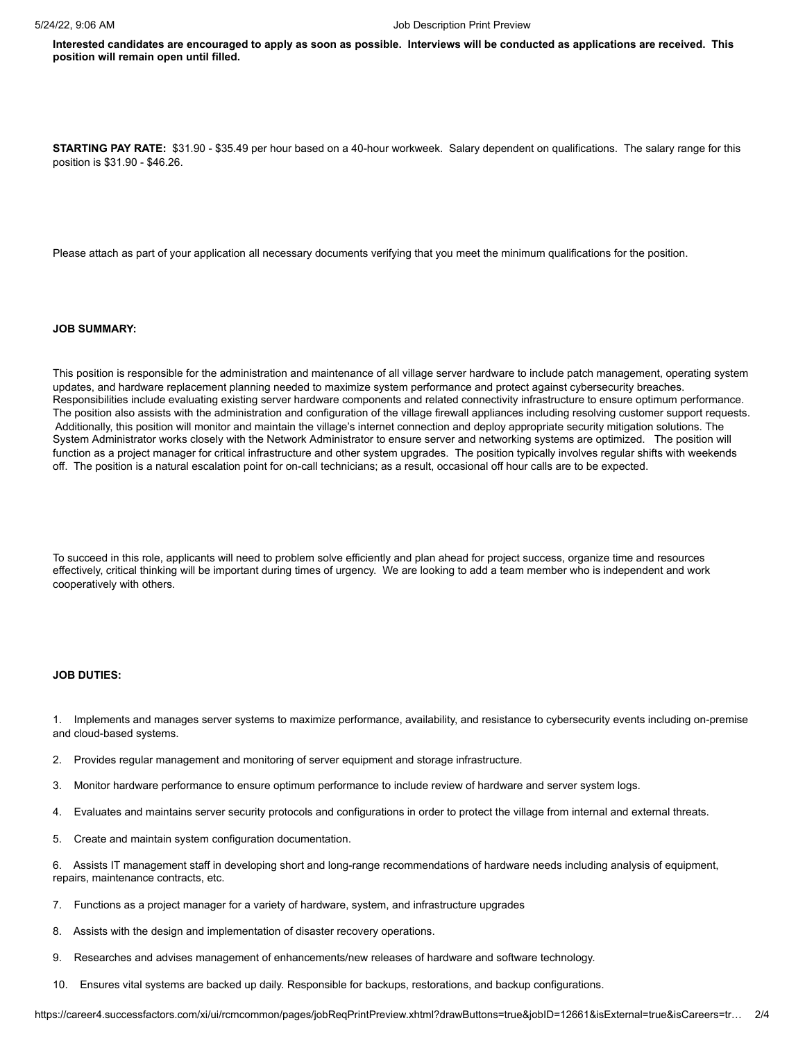**Interested candidates are encouraged to apply as soon as possible. Interviews will be conducted as applications are received. This position will remain open until filled.**

**STARTING PAY RATE:** \$31.90 - \$35.49 per hour based on a 40-hour workweek. Salary dependent on qualifications. The salary range for this position is \$31.90 - \$46.26.

Please attach as part of your application all necessary documents verifying that you meet the minimum qualifications for the position.

#### **JOB SUMMARY:**

This position is responsible for the administration and maintenance of all village server hardware to include patch management, operating system updates, and hardware replacement planning needed to maximize system performance and protect against cybersecurity breaches. Responsibilities include evaluating existing server hardware components and related connectivity infrastructure to ensure optimum performance. The position also assists with the administration and configuration of the village firewall appliances including resolving customer support requests. Additionally, this position will monitor and maintain the village's internet connection and deploy appropriate security mitigation solutions. The System Administrator works closely with the Network Administrator to ensure server and networking systems are optimized. The position will function as a project manager for critical infrastructure and other system upgrades. The position typically involves regular shifts with weekends off. The position is a natural escalation point for on-call technicians; as a result, occasional off hour calls are to be expected.

To succeed in this role, applicants will need to problem solve efficiently and plan ahead for project success, organize time and resources effectively, critical thinking will be important during times of urgency. We are looking to add a team member who is independent and work cooperatively with others.

# **JOB DUTIES:**

1. Implements and manages server systems to maximize performance, availability, and resistance to cybersecurity events including on-premise and cloud-based systems.

- 2. Provides regular management and monitoring of server equipment and storage infrastructure.
- 3. Monitor hardware performance to ensure optimum performance to include review of hardware and server system logs.
- 4. Evaluates and maintains server security protocols and configurations in order to protect the village from internal and external threats.
- 5. Create and maintain system configuration documentation.

6. Assists IT management staff in developing short and long-range recommendations of hardware needs including analysis of equipment, repairs, maintenance contracts, etc.

- 7. Functions as a project manager for a variety of hardware, system, and infrastructure upgrades
- 8. Assists with the design and implementation of disaster recovery operations.
- 9. Researches and advises management of enhancements/new releases of hardware and software technology.
- 10. Ensures vital systems are backed up daily. Responsible for backups, restorations, and backup configurations.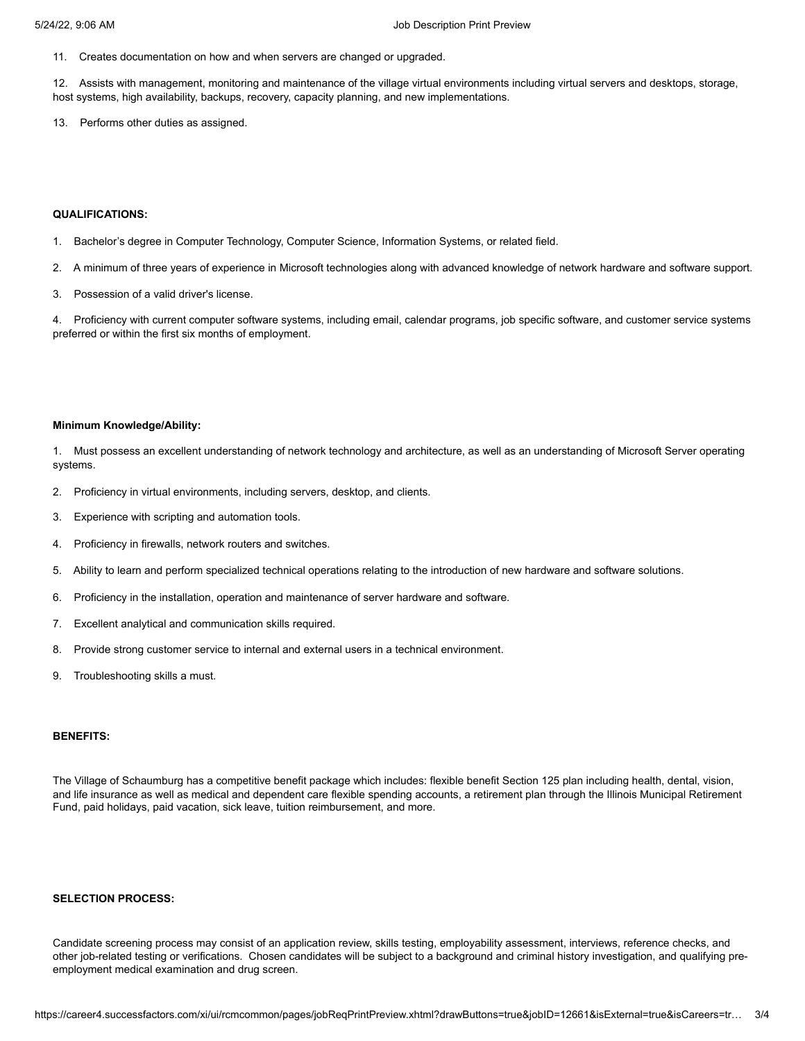11. Creates documentation on how and when servers are changed or upgraded.

12. Assists with management, monitoring and maintenance of the village virtual environments including virtual servers and desktops, storage, host systems, high availability, backups, recovery, capacity planning, and new implementations.

13. Performs other duties as assigned.

# **QUALIFICATIONS:**

1. Bachelor's degree in Computer Technology, Computer Science, Information Systems, or related field.

- 2. A minimum of three years of experience in Microsoft technologies along with advanced knowledge of network hardware and software support.
- 3. Possession of a valid driver's license.

4. Proficiency with current computer software systems, including email, calendar programs, job specific software, and customer service systems preferred or within the first six months of employment.

#### **Minimum Knowledge/Ability:**

1. Must possess an excellent understanding of network technology and architecture, as well as an understanding of Microsoft Server operating systems.

- 2. Proficiency in virtual environments, including servers, desktop, and clients.
- 3. Experience with scripting and automation tools.
- 4. Proficiency in firewalls, network routers and switches.
- 5. Ability to learn and perform specialized technical operations relating to the introduction of new hardware and software solutions.
- 6. Proficiency in the installation, operation and maintenance of server hardware and software.
- 7. Excellent analytical and communication skills required.
- 8. Provide strong customer service to internal and external users in a technical environment.
- 9. Troubleshooting skills a must.

## **BENEFITS:**

The Village of Schaumburg has a competitive benefit package which includes: flexible benefit Section 125 plan including health, dental, vision, and life insurance as well as medical and dependent care flexible spending accounts, a retirement plan through the Illinois Municipal Retirement Fund, paid holidays, paid vacation, sick leave, tuition reimbursement, and more.

#### **SELECTION PROCESS:**

Candidate screening process may consist of an application review, skills testing, employability assessment, interviews, reference checks, and other job-related testing or verifications. Chosen candidates will be subject to a background and criminal history investigation, and qualifying preemployment medical examination and drug screen.